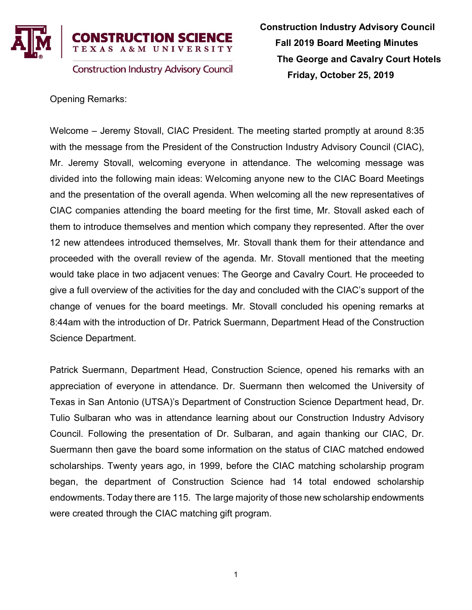

Opening Remarks:

Welcome – Jeremy Stovall, CIAC President. The meeting started promptly at around 8:35 with the message from the President of the Construction Industry Advisory Council (CIAC), Mr. Jeremy Stovall, welcoming everyone in attendance. The welcoming message was divided into the following main ideas: Welcoming anyone new to the CIAC Board Meetings and the presentation of the overall agenda. When welcoming all the new representatives of CIAC companies attending the board meeting for the first time, Mr. Stovall asked each of them to introduce themselves and mention which company they represented. After the over 12 new attendees introduced themselves, Mr. Stovall thank them for their attendance and proceeded with the overall review of the agenda. Mr. Stovall mentioned that the meeting would take place in two adjacent venues: The George and Cavalry Court. He proceeded to give a full overview of the activities for the day and concluded with the CIAC's support of the change of venues for the board meetings. Mr. Stovall concluded his opening remarks at 8:44am with the introduction of Dr. Patrick Suermann, Department Head of the Construction Science Department.

Patrick Suermann, Department Head, Construction Science, opened his remarks with an appreciation of everyone in attendance. Dr. Suermann then welcomed the University of Texas in San Antonio (UTSA)'s Department of Construction Science Department head, Dr. Tulio Sulbaran who was in attendance learning about our Construction Industry Advisory Council. Following the presentation of Dr. Sulbaran, and again thanking our CIAC, Dr. Suermann then gave the board some information on the status of CIAC matched endowed scholarships. Twenty years ago, in 1999, before the CIAC matching scholarship program began, the department of Construction Science had 14 total endowed scholarship endowments. Today there are 115. The large majority of those new scholarship endowments were created through the CIAC matching gift program.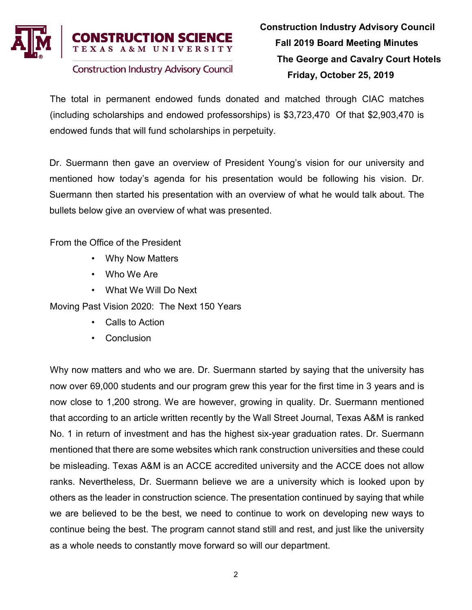

The total in permanent endowed funds donated and matched through CIAC matches (including scholarships and endowed professorships) is \$3,723,470 Of that \$2,903,470 is endowed funds that will fund scholarships in perpetuity.

Dr. Suermann then gave an overview of President Young's vision for our university and mentioned how today's agenda for his presentation would be following his vision. Dr. Suermann then started his presentation with an overview of what he would talk about. The bullets below give an overview of what was presented.

From the Office of the President

- Why Now Matters
- Who We Are
- What We Will Do Next

Moving Past Vision 2020: The Next 150 Years

- Calls to Action
- **Conclusion**

Why now matters and who we are. Dr. Suermann started by saying that the university has now over 69,000 students and our program grew this year for the first time in 3 years and is now close to 1,200 strong. We are however, growing in quality. Dr. Suermann mentioned that according to an article written recently by the Wall Street Journal, Texas A&M is ranked No. 1 in return of investment and has the highest six-year graduation rates. Dr. Suermann mentioned that there are some websites which rank construction universities and these could be misleading. Texas A&M is an ACCE accredited university and the ACCE does not allow ranks. Nevertheless, Dr. Suermann believe we are a university which is looked upon by others as the leader in construction science. The presentation continued by saying that while we are believed to be the best, we need to continue to work on developing new ways to continue being the best. The program cannot stand still and rest, and just like the university as a whole needs to constantly move forward so will our department.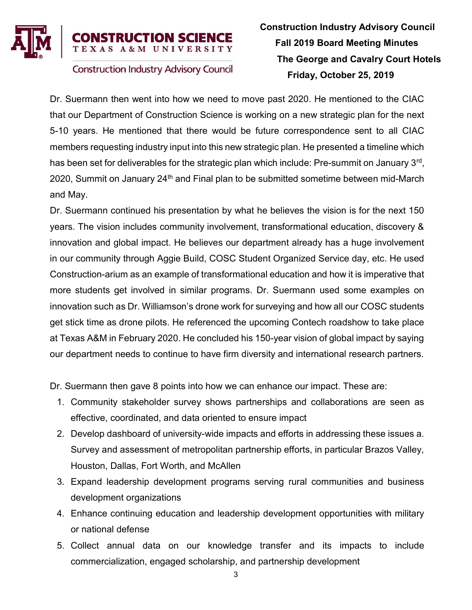

# Construction Industry Advisory Council Fall 2019 Board Meeting Minutes The George and Cavalry Court Hotels Friday, October 25, 2019

Dr. Suermann then went into how we need to move past 2020. He mentioned to the CIAC that our Department of Construction Science is working on a new strategic plan for the next 5-10 years. He mentioned that there would be future correspondence sent to all CIAC members requesting industry input into this new strategic plan. He presented a timeline which has been set for deliverables for the strategic plan which include: Pre-summit on January 3<sup>rd</sup>, 2020, Summit on January 24<sup>th</sup> and Final plan to be submitted sometime between mid-March and May.

Dr. Suermann continued his presentation by what he believes the vision is for the next 150 years. The vision includes community involvement, transformational education, discovery & innovation and global impact. He believes our department already has a huge involvement in our community through Aggie Build, COSC Student Organized Service day, etc. He used Construction-arium as an example of transformational education and how it is imperative that more students get involved in similar programs. Dr. Suermann used some examples on innovation such as Dr. Williamson's drone work for surveying and how all our COSC students get stick time as drone pilots. He referenced the upcoming Contech roadshow to take place at Texas A&M in February 2020. He concluded his 150-year vision of global impact by saying our department needs to continue to have firm diversity and international research partners.

Dr. Suermann then gave 8 points into how we can enhance our impact. These are:

- 1. Community stakeholder survey shows partnerships and collaborations are seen as effective, coordinated, and data oriented to ensure impact
- 2. Develop dashboard of university-wide impacts and efforts in addressing these issues a. Survey and assessment of metropolitan partnership efforts, in particular Brazos Valley, Houston, Dallas, Fort Worth, and McAllen
- 3. Expand leadership development programs serving rural communities and business development organizations
- 4. Enhance continuing education and leadership development opportunities with military or national defense
- 5. Collect annual data on our knowledge transfer and its impacts to include commercialization, engaged scholarship, and partnership development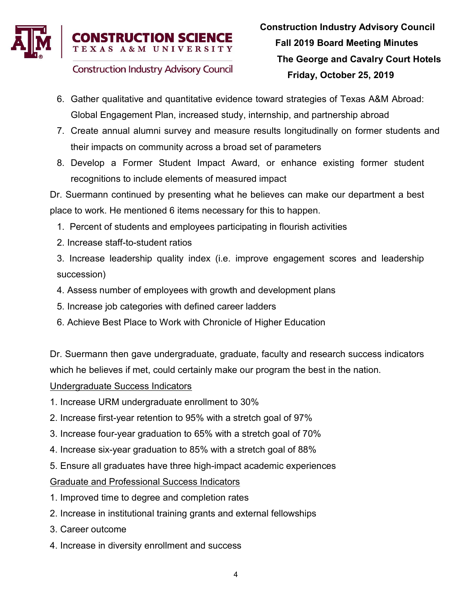

- **Construction Industry Advisory Council**
- 6. Gather qualitative and quantitative evidence toward strategies of Texas A&M Abroad: Global Engagement Plan, increased study, internship, and partnership abroad
- 7. Create annual alumni survey and measure results longitudinally on former students and their impacts on community across a broad set of parameters
- 8. Develop a Former Student Impact Award, or enhance existing former student recognitions to include elements of measured impact

Dr. Suermann continued by presenting what he believes can make our department a best place to work. He mentioned 6 items necessary for this to happen.

- 1. Percent of students and employees participating in flourish activities
- 2. Increase staff-to-student ratios
- 3. Increase leadership quality index (i.e. improve engagement scores and leadership succession)
- 4. Assess number of employees with growth and development plans
- 5. Increase job categories with defined career ladders
- 6. Achieve Best Place to Work with Chronicle of Higher Education

Dr. Suermann then gave undergraduate, graduate, faculty and research success indicators which he believes if met, could certainly make our program the best in the nation.

Undergraduate Success Indicators

- 1. Increase URM undergraduate enrollment to 30%
- 2. Increase first-year retention to 95% with a stretch goal of 97%
- 3. Increase four-year graduation to 65% with a stretch goal of 70%
- 4. Increase six-year graduation to 85% with a stretch goal of 88%
- 5. Ensure all graduates have three high-impact academic experiences

Graduate and Professional Success Indicators

- 1. Improved time to degree and completion rates
- 2. Increase in institutional training grants and external fellowships
- 3. Career outcome
- 4. Increase in diversity enrollment and success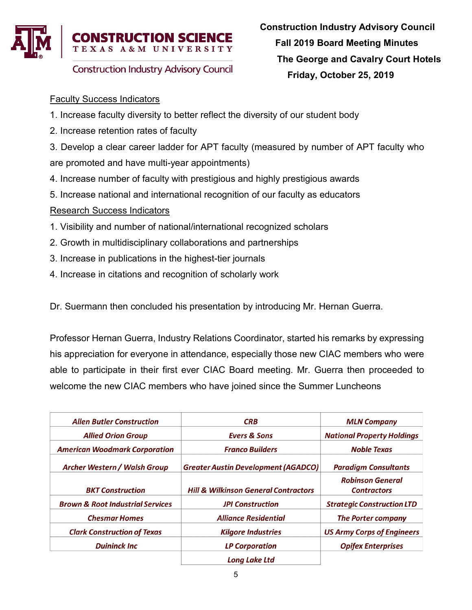

## Faculty Success Indicators

- 1. Increase faculty diversity to better reflect the diversity of our student body
- 2. Increase retention rates of faculty

3. Develop a clear career ladder for APT faculty (measured by number of APT faculty who are promoted and have multi-year appointments)

- 4. Increase number of faculty with prestigious and highly prestigious awards
- 5. Increase national and international recognition of our faculty as educators

## Research Success Indicators

- 1. Visibility and number of national/international recognized scholars
- 2. Growth in multidisciplinary collaborations and partnerships
- 3. Increase in publications in the highest-tier journals
- 4. Increase in citations and recognition of scholarly work

Dr. Suermann then concluded his presentation by introducing Mr. Hernan Guerra.

Professor Hernan Guerra, Industry Relations Coordinator, started his remarks by expressing his appreciation for everyone in attendance, especially those new CIAC members who were able to participate in their first ever CIAC Board meeting. Mr. Guerra then proceeded to welcome the new CIAC members who have joined since the Summer Luncheons

| <b>Allen Butler Construction</b>            | <b>CRB</b>                                      | <b>MLN Company</b>                |
|---------------------------------------------|-------------------------------------------------|-----------------------------------|
| <b>Allied Orion Group</b>                   | <b>Evers &amp; Sons</b>                         | <b>National Property Holdings</b> |
| <b>American Woodmark Corporation</b>        | <b>Franco Builders</b>                          | <b>Noble Texas</b>                |
| <b>Archer Western / Walsh Group</b>         | <b>Greater Austin Development (AGADCO)</b>      | <b>Paradigm Consultants</b>       |
|                                             |                                                 | <b>Robinson General</b>           |
| <b>BKT Construction</b>                     | <b>Hill &amp; Wilkinson General Contractors</b> | <b>Contractors</b>                |
| <b>Brown &amp; Root Industrial Services</b> | <b>JPI Construction</b>                         | <b>Strategic Construction LTD</b> |
| <b>Chesmar Homes</b>                        | <b>Alliance Residential</b>                     | <b>The Porter company</b>         |
| <b>Clark Construction of Texas</b>          | <b>Kilgore Industries</b>                       | <b>US Army Corps of Engineers</b> |
| <b>Duininck Inc</b>                         | <b>LP Corporation</b>                           | <b>Opifex Enterprises</b>         |
|                                             | <b>Long Lake Ltd</b>                            |                                   |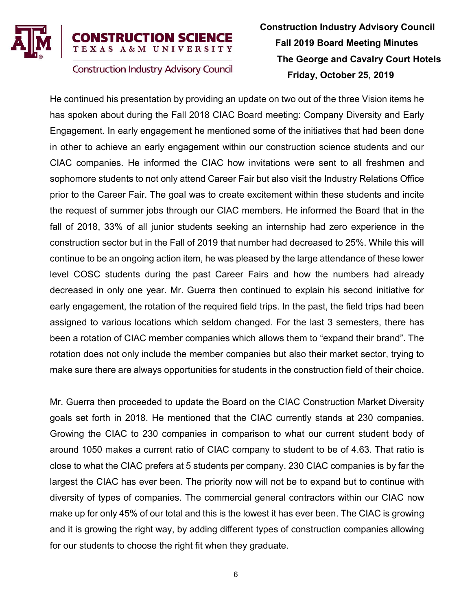

### **RUCTION SCIENCE** A & M UNIVERSITY

**Construction Industry Advisory Council** 

# Construction Industry Advisory Council Fall 2019 Board Meeting Minutes The George and Cavalry Court Hotels Friday, October 25, 2019

He continued his presentation by providing an update on two out of the three Vision items he has spoken about during the Fall 2018 CIAC Board meeting: Company Diversity and Early Engagement. In early engagement he mentioned some of the initiatives that had been done in other to achieve an early engagement within our construction science students and our CIAC companies. He informed the CIAC how invitations were sent to all freshmen and sophomore students to not only attend Career Fair but also visit the Industry Relations Office prior to the Career Fair. The goal was to create excitement within these students and incite the request of summer jobs through our CIAC members. He informed the Board that in the fall of 2018, 33% of all junior students seeking an internship had zero experience in the construction sector but in the Fall of 2019 that number had decreased to 25%. While this will continue to be an ongoing action item, he was pleased by the large attendance of these lower level COSC students during the past Career Fairs and how the numbers had already decreased in only one year. Mr. Guerra then continued to explain his second initiative for early engagement, the rotation of the required field trips. In the past, the field trips had been assigned to various locations which seldom changed. For the last 3 semesters, there has been a rotation of CIAC member companies which allows them to "expand their brand". The rotation does not only include the member companies but also their market sector, trying to make sure there are always opportunities for students in the construction field of their choice.

Mr. Guerra then proceeded to update the Board on the CIAC Construction Market Diversity goals set forth in 2018. He mentioned that the CIAC currently stands at 230 companies. Growing the CIAC to 230 companies in comparison to what our current student body of around 1050 makes a current ratio of CIAC company to student to be of 4.63. That ratio is close to what the CIAC prefers at 5 students per company. 230 CIAC companies is by far the largest the CIAC has ever been. The priority now will not be to expand but to continue with diversity of types of companies. The commercial general contractors within our CIAC now make up for only 45% of our total and this is the lowest it has ever been. The CIAC is growing and it is growing the right way, by adding different types of construction companies allowing for our students to choose the right fit when they graduate.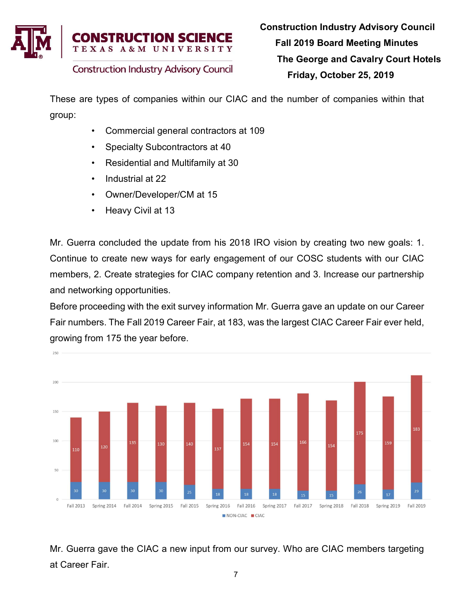

These are types of companies within our CIAC and the number of companies within that group:

- Commercial general contractors at 109
- Specialty Subcontractors at 40
- Residential and Multifamily at 30
- Industrial at 22
- Owner/Developer/CM at 15
- Heavy Civil at 13

Mr. Guerra concluded the update from his 2018 IRO vision by creating two new goals: 1. Continue to create new ways for early engagement of our COSC students with our CIAC members, 2. Create strategies for CIAC company retention and 3. Increase our partnership and networking opportunities.

Before proceeding with the exit survey information Mr. Guerra gave an update on our Career Fair numbers. The Fall 2019 Career Fair, at 183, was the largest CIAC Career Fair ever held, growing from 175 the year before.



Mr. Guerra gave the CIAC a new input from our survey. Who are CIAC members targeting at Career Fair.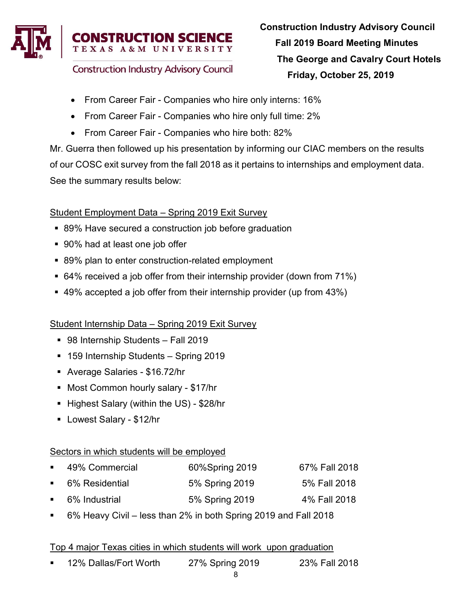

- From Career Fair Companies who hire only interns: 16%
- From Career Fair Companies who hire only full time: 2%
- From Career Fair Companies who hire both: 82%

Mr. Guerra then followed up his presentation by informing our CIAC members on the results of our COSC exit survey from the fall 2018 as it pertains to internships and employment data. See the summary results below:

### Student Employment Data – Spring 2019 Exit Survey

- 89% Have secured a construction job before graduation
- 90% had at least one job offer
- 89% plan to enter construction-related employment
- 64% received a job offer from their internship provider (down from 71%)
- 49% accepted a job offer from their internship provider (up from 43%)

#### Student Internship Data – Spring 2019 Exit Survey

- 98 Internship Students Fall 2019
- 159 Internship Students Spring 2019
- Average Salaries \$16.72/hr
- Most Common hourly salary \$17/hr
- Highest Salary (within the US) \$28/hr
- Lowest Salary \$12/hr

#### Sectors in which students will be employed

| ■ 49% Commercial | 60%Spring 2019 | 67% Fall 2018 |
|------------------|----------------|---------------|
| ■ 6% Residential | 5% Spring 2019 | 5% Fall 2018  |
| ■ 6% Industrial  | 5% Spring 2019 | 4% Fall 2018  |

6% Heavy Civil – less than 2% in both Spring 2019 and Fall 2018

#### Top 4 major Texas cities in which students will work upon graduation

12% Dallas/Fort Worth 27% Spring 2019 23% Fall 2018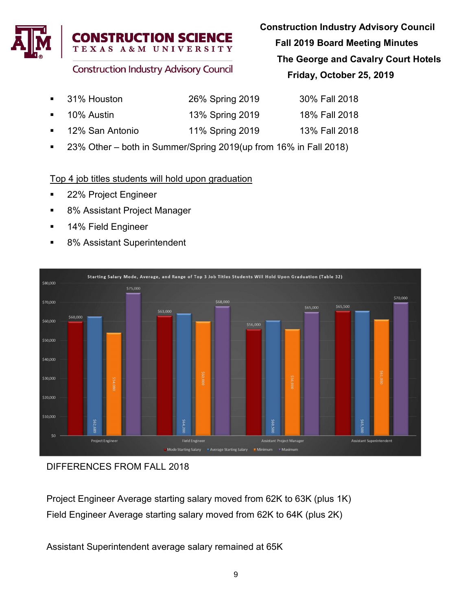

- Construction Industry Advisory Council Fall 2019 Board Meeting Minutes The George and Cavalry Court Hotels Friday, October 25, 2019
- 31% Houston 26% Spring 2019 30% Fall 2018 10% Austin 13% Spring 2019 18% Fall 2018
- 12% San Antonio 11% Spring 2019 13% Fall 2018

**N SCIENCE** 

■ 23% Other – both in Summer/Spring 2019(up from 16% in Fall 2018)

## Top 4 job titles students will hold upon graduation

- **22% Project Engineer**
- 8% Assistant Project Manager
- **14% Field Engineer**
- 8% Assistant Superintendent



DIFFERENCES FROM FALL 2018

Project Engineer Average starting salary moved from 62K to 63K (plus 1K) Field Engineer Average starting salary moved from 62K to 64K (plus 2K)

Assistant Superintendent average salary remained at 65K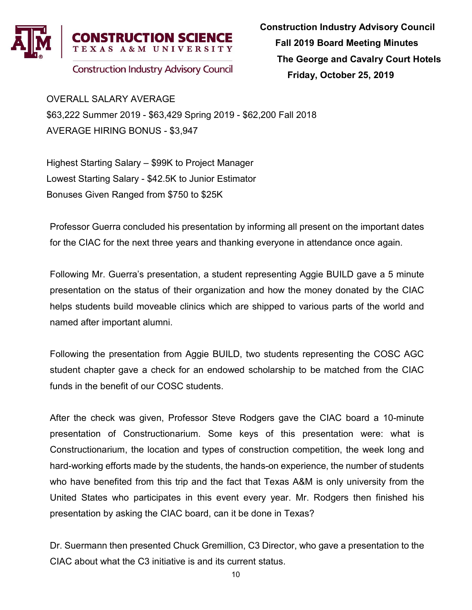

OVERALL SALARY AVERAGE \$63,222 Summer 2019 - \$63,429 Spring 2019 - \$62,200 Fall 2018 AVERAGE HIRING BONUS - \$3,947

Highest Starting Salary – \$99K to Project Manager Lowest Starting Salary - \$42.5K to Junior Estimator Bonuses Given Ranged from \$750 to \$25K

Professor Guerra concluded his presentation by informing all present on the important dates for the CIAC for the next three years and thanking everyone in attendance once again.

Following Mr. Guerra's presentation, a student representing Aggie BUILD gave a 5 minute presentation on the status of their organization and how the money donated by the CIAC helps students build moveable clinics which are shipped to various parts of the world and named after important alumni.

Following the presentation from Aggie BUILD, two students representing the COSC AGC student chapter gave a check for an endowed scholarship to be matched from the CIAC funds in the benefit of our COSC students.

After the check was given, Professor Steve Rodgers gave the CIAC board a 10-minute presentation of Constructionarium. Some keys of this presentation were: what is Constructionarium, the location and types of construction competition, the week long and hard-working efforts made by the students, the hands-on experience, the number of students who have benefited from this trip and the fact that Texas A&M is only university from the United States who participates in this event every year. Mr. Rodgers then finished his presentation by asking the CIAC board, can it be done in Texas?

Dr. Suermann then presented Chuck Gremillion, C3 Director, who gave a presentation to the CIAC about what the C3 initiative is and its current status.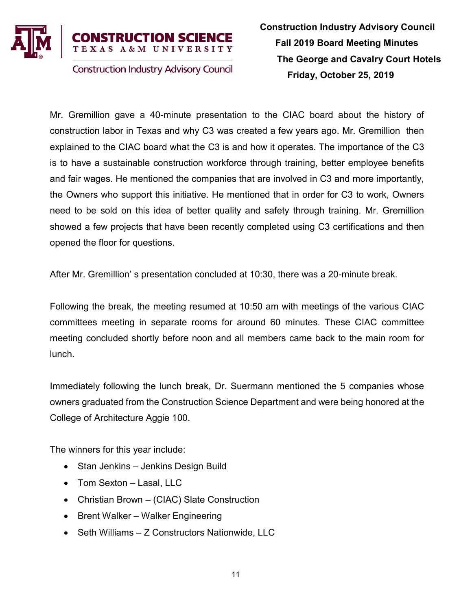

Mr. Gremillion gave a 40-minute presentation to the CIAC board about the history of construction labor in Texas and why C3 was created a few years ago. Mr. Gremillion then explained to the CIAC board what the C3 is and how it operates. The importance of the C3 is to have a sustainable construction workforce through training, better employee benefits and fair wages. He mentioned the companies that are involved in C3 and more importantly, the Owners who support this initiative. He mentioned that in order for C3 to work, Owners need to be sold on this idea of better quality and safety through training. Mr. Gremillion showed a few projects that have been recently completed using C3 certifications and then opened the floor for questions.

After Mr. Gremillion' s presentation concluded at 10:30, there was a 20-minute break.

Following the break, the meeting resumed at 10:50 am with meetings of the various CIAC committees meeting in separate rooms for around 60 minutes. These CIAC committee meeting concluded shortly before noon and all members came back to the main room for lunch.

Immediately following the lunch break, Dr. Suermann mentioned the 5 companies whose owners graduated from the Construction Science Department and were being honored at the College of Architecture Aggie 100.

The winners for this year include:

- Stan Jenkins Jenkins Design Build
- Tom Sexton Lasal, LLC
- Christian Brown (CIAC) Slate Construction
- Brent Walker Walker Engineering
- Seth Williams Z Constructors Nationwide, LLC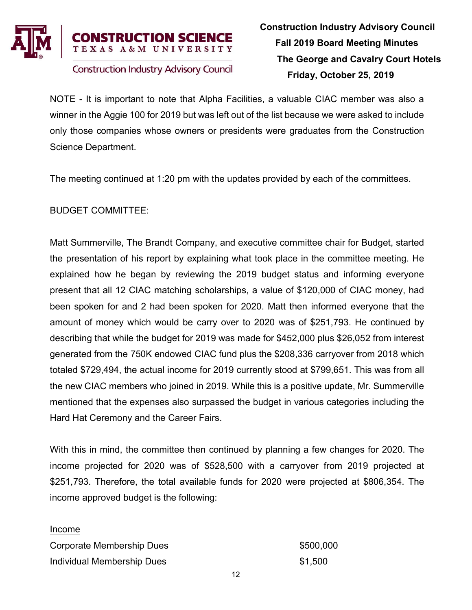

NOTE - It is important to note that Alpha Facilities, a valuable CIAC member was also a winner in the Aggie 100 for 2019 but was left out of the list because we were asked to include only those companies whose owners or presidents were graduates from the Construction Science Department.

The meeting continued at 1:20 pm with the updates provided by each of the committees.

BUDGET COMMITTEE:

Matt Summerville, The Brandt Company, and executive committee chair for Budget, started the presentation of his report by explaining what took place in the committee meeting. He explained how he began by reviewing the 2019 budget status and informing everyone present that all 12 CIAC matching scholarships, a value of \$120,000 of CIAC money, had been spoken for and 2 had been spoken for 2020. Matt then informed everyone that the amount of money which would be carry over to 2020 was of \$251,793. He continued by describing that while the budget for 2019 was made for \$452,000 plus \$26,052 from interest generated from the 750K endowed CIAC fund plus the \$208,336 carryover from 2018 which totaled \$729,494, the actual income for 2019 currently stood at \$799,651. This was from all the new CIAC members who joined in 2019. While this is a positive update, Mr. Summerville mentioned that the expenses also surpassed the budget in various categories including the Hard Hat Ceremony and the Career Fairs.

With this in mind, the committee then continued by planning a few changes for 2020. The income projected for 2020 was of \$528,500 with a carryover from 2019 projected at \$251,793. Therefore, the total available funds for 2020 were projected at \$806,354. The income approved budget is the following:

Income

Corporate Membership Dues  $$500,000$ Individual Membership Dues **\$1,500**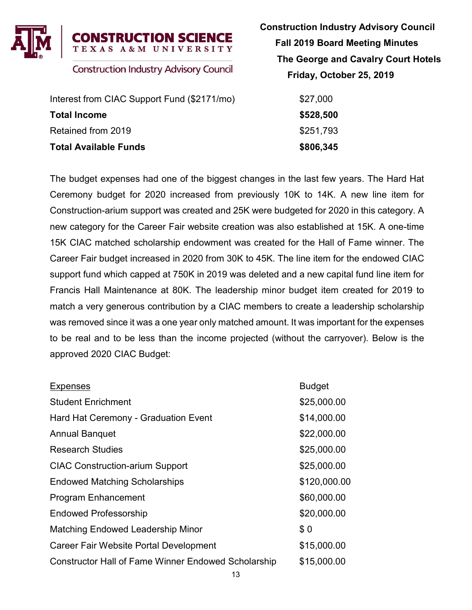

| Interest from CIAC Support Fund (\$2171/mo) | \$27,000  |
|---------------------------------------------|-----------|
| <b>Total Income</b>                         | \$528,500 |
| Retained from 2019                          | \$251.793 |
| <b>Total Available Funds</b>                | \$806,345 |

 Construction Industry Advisory Council Fall 2019 Board Meeting Minutes The George and Cavalry Court Hotels Friday, October 25, 2019

| \$27,000  |  |
|-----------|--|
| \$528,500 |  |
| \$251,793 |  |
| \$806,345 |  |

The budget expenses had one of the biggest changes in the last few years. The Hard Hat Ceremony budget for 2020 increased from previously 10K to 14K. A new line item for Construction-arium support was created and 25K were budgeted for 2020 in this category. A new category for the Career Fair website creation was also established at 15K. A one-time 15K CIAC matched scholarship endowment was created for the Hall of Fame winner. The Career Fair budget increased in 2020 from 30K to 45K. The line item for the endowed CIAC support fund which capped at 750K in 2019 was deleted and a new capital fund line item for Francis Hall Maintenance at 80K. The leadership minor budget item created for 2019 to match a very generous contribution by a CIAC members to create a leadership scholarship was removed since it was a one year only matched amount. It was important for the expenses to be real and to be less than the income projected (without the carryover). Below is the approved 2020 CIAC Budget:

| <b>Expenses</b>                                            | <b>Budget</b> |
|------------------------------------------------------------|---------------|
| <b>Student Enrichment</b>                                  | \$25,000.00   |
| Hard Hat Ceremony - Graduation Event                       | \$14,000.00   |
| <b>Annual Banquet</b>                                      | \$22,000.00   |
| <b>Research Studies</b>                                    | \$25,000.00   |
| <b>CIAC Construction-arium Support</b>                     | \$25,000.00   |
| <b>Endowed Matching Scholarships</b>                       | \$120,000.00  |
| <b>Program Enhancement</b>                                 | \$60,000.00   |
| <b>Endowed Professorship</b>                               | \$20,000.00   |
| <b>Matching Endowed Leadership Minor</b>                   | \$0           |
| <b>Career Fair Website Portal Development</b>              | \$15,000.00   |
| <b>Constructor Hall of Fame Winner Endowed Scholarship</b> | \$15,000.00   |
|                                                            |               |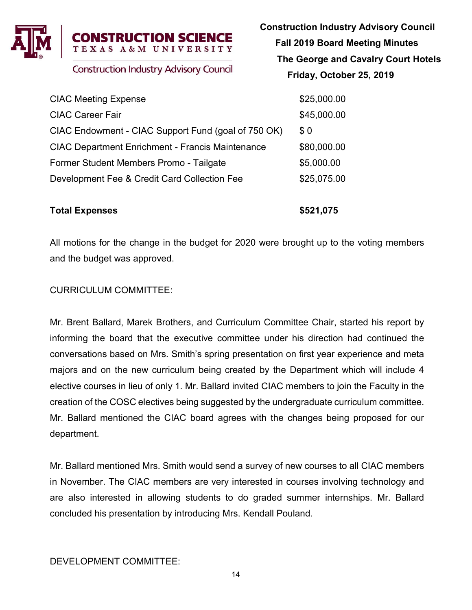

CIAC Meeting Expense \$25,000.00 CIAC Career Fair  $$45,000.00$ CIAC Endowment - CIAC Support Fund (goal of  $750$  OK)  $$0$ CIAC Department Enrichment - Francis Maintenance \$80,000.00 Former Student Members Promo - Tailgate \$5,000.00 Development Fee & Credit Card Collection Fee \$25,075.00

#### Total Expenses  $$521,075$

All motions for the change in the budget for 2020 were brought up to the voting members and the budget was approved.

### CURRICULUM COMMITTEE:

Mr. Brent Ballard, Marek Brothers, and Curriculum Committee Chair, started his report by informing the board that the executive committee under his direction had continued the conversations based on Mrs. Smith's spring presentation on first year experience and meta majors and on the new curriculum being created by the Department which will include 4 elective courses in lieu of only 1. Mr. Ballard invited CIAC members to join the Faculty in the creation of the COSC electives being suggested by the undergraduate curriculum committee. Mr. Ballard mentioned the CIAC board agrees with the changes being proposed for our department.

Mr. Ballard mentioned Mrs. Smith would send a survey of new courses to all CIAC members in November. The CIAC members are very interested in courses involving technology and are also interested in allowing students to do graded summer internships. Mr. Ballard concluded his presentation by introducing Mrs. Kendall Pouland.

DEVELOPMENT COMMITTEE:

 Construction Industry Advisory Council Fall 2019 Board Meeting Minutes The George and Cavalry Court Hotels Friday, October 25, 2019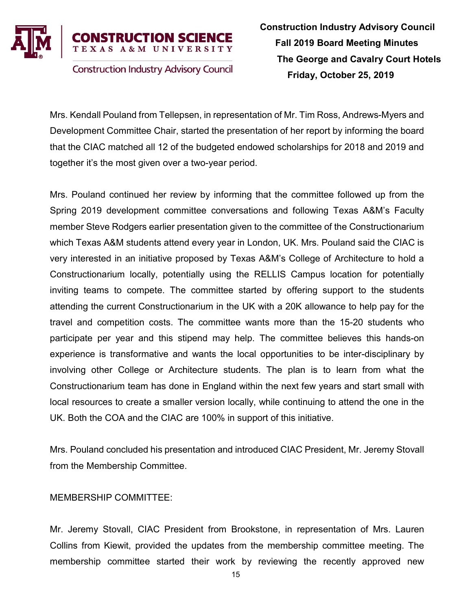

Mrs. Kendall Pouland from Tellepsen, in representation of Mr. Tim Ross, Andrews-Myers and Development Committee Chair, started the presentation of her report by informing the board that the CIAC matched all 12 of the budgeted endowed scholarships for 2018 and 2019 and together it's the most given over a two-year period.

Mrs. Pouland continued her review by informing that the committee followed up from the Spring 2019 development committee conversations and following Texas A&M's Faculty member Steve Rodgers earlier presentation given to the committee of the Constructionarium which Texas A&M students attend every year in London, UK. Mrs. Pouland said the CIAC is very interested in an initiative proposed by Texas A&M's College of Architecture to hold a Constructionarium locally, potentially using the RELLIS Campus location for potentially inviting teams to compete. The committee started by offering support to the students attending the current Constructionarium in the UK with a 20K allowance to help pay for the travel and competition costs. The committee wants more than the 15-20 students who participate per year and this stipend may help. The committee believes this hands-on experience is transformative and wants the local opportunities to be inter-disciplinary by involving other College or Architecture students. The plan is to learn from what the Constructionarium team has done in England within the next few years and start small with local resources to create a smaller version locally, while continuing to attend the one in the UK. Both the COA and the CIAC are 100% in support of this initiative.

Mrs. Pouland concluded his presentation and introduced CIAC President, Mr. Jeremy Stovall from the Membership Committee.

#### MEMBERSHIP COMMITTEE:

Mr. Jeremy Stovall, CIAC President from Brookstone, in representation of Mrs. Lauren Collins from Kiewit, provided the updates from the membership committee meeting. The membership committee started their work by reviewing the recently approved new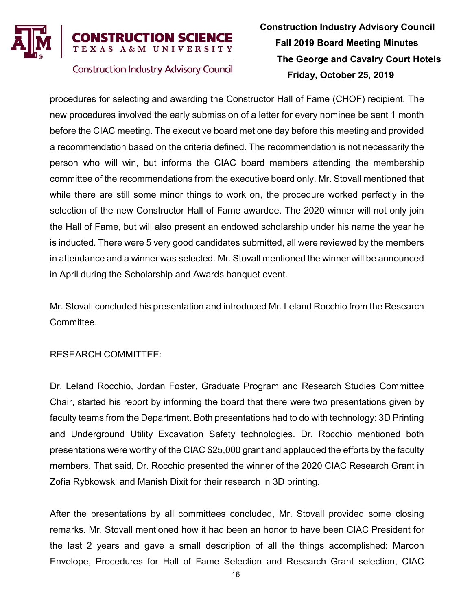

# **RUCTION SCIENCE** A & M UNIVERSITY

**Construction Industry Advisory Council** 

# Construction Industry Advisory Council Fall 2019 Board Meeting Minutes The George and Cavalry Court Hotels Friday, October 25, 2019

procedures for selecting and awarding the Constructor Hall of Fame (CHOF) recipient. The new procedures involved the early submission of a letter for every nominee be sent 1 month before the CIAC meeting. The executive board met one day before this meeting and provided a recommendation based on the criteria defined. The recommendation is not necessarily the person who will win, but informs the CIAC board members attending the membership committee of the recommendations from the executive board only. Mr. Stovall mentioned that while there are still some minor things to work on, the procedure worked perfectly in the selection of the new Constructor Hall of Fame awardee. The 2020 winner will not only join the Hall of Fame, but will also present an endowed scholarship under his name the year he is inducted. There were 5 very good candidates submitted, all were reviewed by the members in attendance and a winner was selected. Mr. Stovall mentioned the winner will be announced in April during the Scholarship and Awards banquet event.

Mr. Stovall concluded his presentation and introduced Mr. Leland Rocchio from the Research Committee.

### RESEARCH COMMITTEE:

Dr. Leland Rocchio, Jordan Foster, Graduate Program and Research Studies Committee Chair, started his report by informing the board that there were two presentations given by faculty teams from the Department. Both presentations had to do with technology: 3D Printing and Underground Utility Excavation Safety technologies. Dr. Rocchio mentioned both presentations were worthy of the CIAC \$25,000 grant and applauded the efforts by the faculty members. That said, Dr. Rocchio presented the winner of the 2020 CIAC Research Grant in Zofia Rybkowski and Manish Dixit for their research in 3D printing.

After the presentations by all committees concluded, Mr. Stovall provided some closing remarks. Mr. Stovall mentioned how it had been an honor to have been CIAC President for the last 2 years and gave a small description of all the things accomplished: Maroon Envelope, Procedures for Hall of Fame Selection and Research Grant selection, CIAC